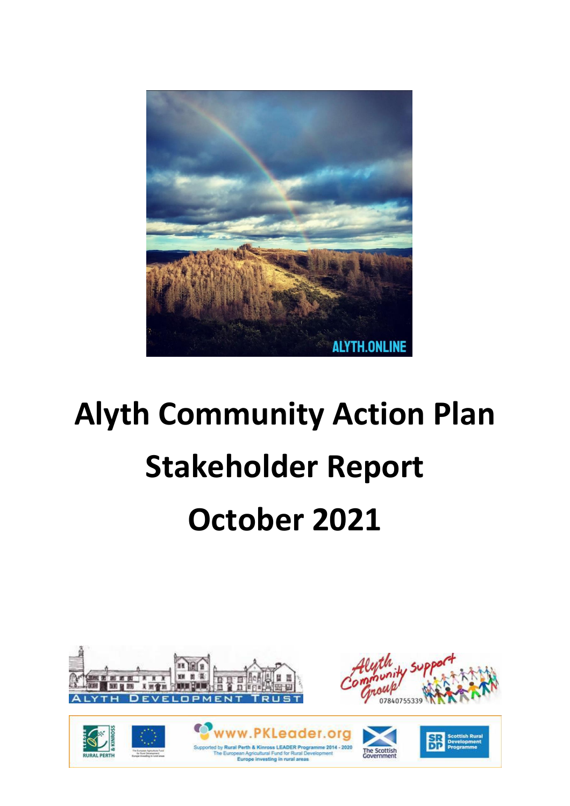

# **Alyth Community Action Plan Stakeholder Report October 2021**





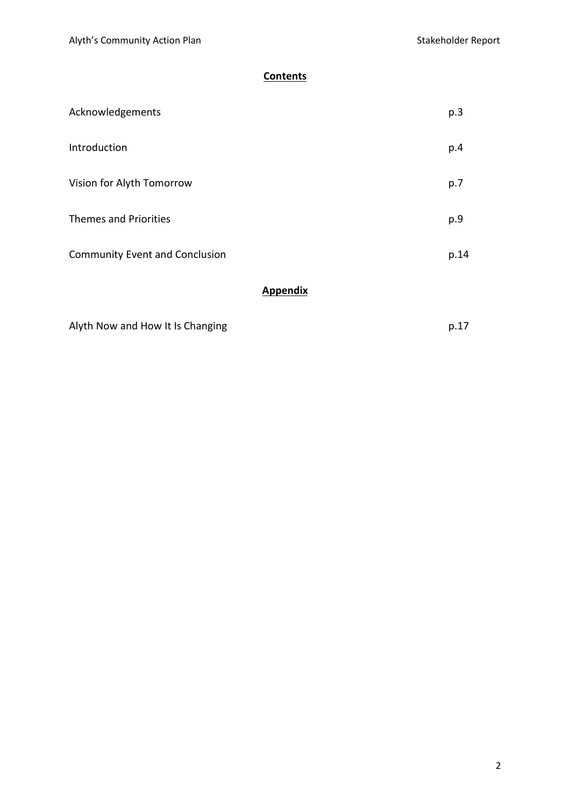# **Contents**

| <b>Appendix</b>                       |      |
|---------------------------------------|------|
| <b>Community Event and Conclusion</b> | p.14 |
| <b>Themes and Priorities</b>          | p.9  |
| Vision for Alyth Tomorrow             | p.7  |
| Introduction                          | p.4  |
| Acknowledgements                      | p.3  |

| Alyth Now and How It Is Changing | p.17 |
|----------------------------------|------|
|----------------------------------|------|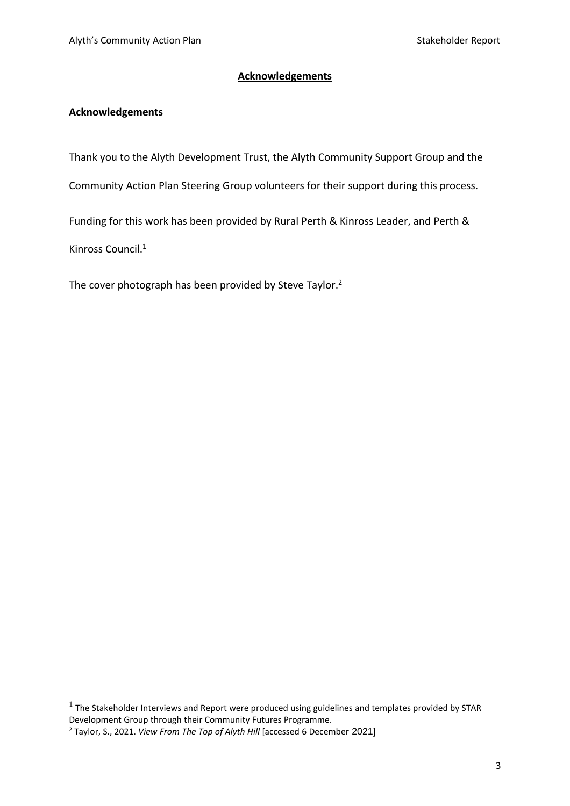# **Acknowledgements**

# **Acknowledgements**

Thank you to the Alyth Development Trust, the Alyth Community Support Group and the

Community Action Plan Steering Group volunteers for their support during this process.

Funding for this work has been provided by Rural Perth & Kinross Leader, and Perth &

Kinross Council. 1

The cover photograph has been provided by Steve Taylor.<sup>2</sup>

 $^1$  The Stakeholder Interviews and Report were produced using guidelines and templates provided by STAR Development Group through their Community Futures Programme.

<sup>2</sup> Taylor, S., 2021. *View From The Top of Alyth Hill* [accessed 6 December 2021]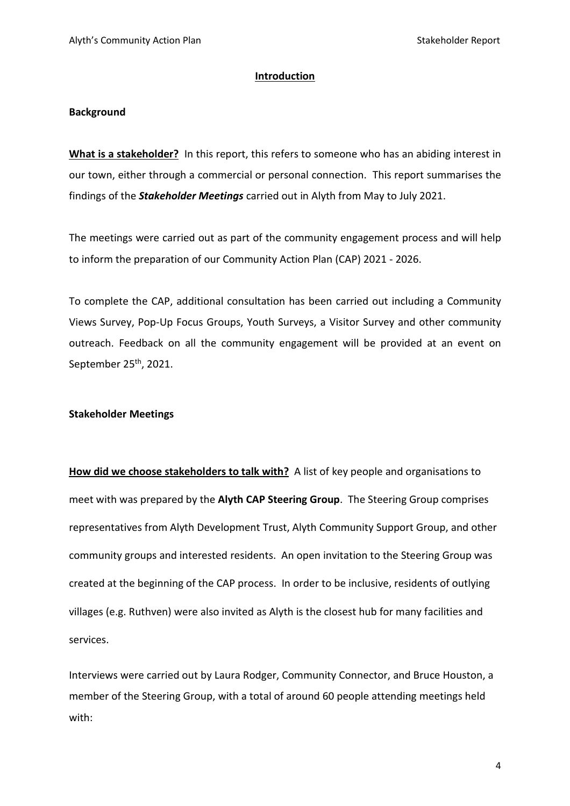#### **Introduction**

#### **Background**

**What is a stakeholder?** In this report, this refers to someone who has an abiding interest in our town, either through a commercial or personal connection. This report summarises the findings of the *Stakeholder Meetings* carried out in Alyth from May to July 2021.

The meetings were carried out as part of the community engagement process and will help to inform the preparation of our Community Action Plan (CAP) 2021 - 2026.

To complete the CAP, additional consultation has been carried out including a Community Views Survey, Pop-Up Focus Groups, Youth Surveys, a Visitor Survey and other community outreach. Feedback on all the community engagement will be provided at an event on September 25<sup>th</sup>, 2021.

## **Stakeholder Meetings**

**How did we choose stakeholders to talk with?** A list of key people and organisations to meet with was prepared by the **Alyth CAP Steering Group**. The Steering Group comprises representatives from Alyth Development Trust, Alyth Community Support Group, and other community groups and interested residents. An open invitation to the Steering Group was created at the beginning of the CAP process. In order to be inclusive, residents of outlying villages (e.g. Ruthven) were also invited as Alyth is the closest hub for many facilities and services.

Interviews were carried out by Laura Rodger, Community Connector, and Bruce Houston, a member of the Steering Group, with a total of around 60 people attending meetings held with:

4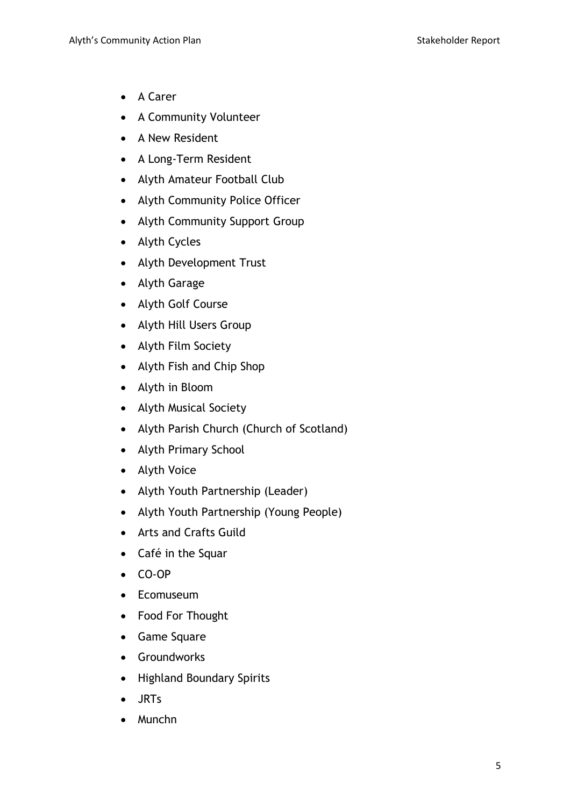- A Carer
- A Community Volunteer
- A New Resident
- A Long-Term Resident
- Alyth Amateur Football Club
- Alyth Community Police Officer
- Alyth Community Support Group
- Alyth Cycles
- Alyth Development Trust
- Alyth Garage
- Alyth Golf Course
- Alyth Hill Users Group
- Alyth Film Society
- Alyth Fish and Chip Shop
- Alyth in Bloom
- Alyth Musical Society
- Alyth Parish Church (Church of Scotland)
- Alyth Primary School
- Alyth Voice
- Alyth Youth Partnership (Leader)
- Alyth Youth Partnership (Young People)
- Arts and Crafts Guild
- Café in the Squar
- CO-OP
- Ecomuseum
- Food For Thought
- Game Square
- Groundworks
- Highland Boundary Spirits
- JRTs
- Munchn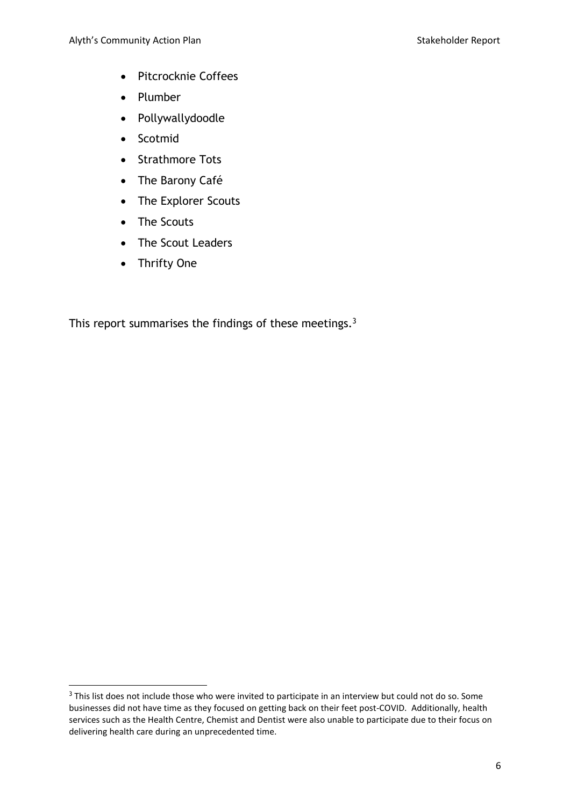- Pitcrocknie Coffees
- Plumber
- Pollywallydoodle
- Scotmid
- Strathmore Tots
- The Barony Café
- The Explorer Scouts
- The Scouts
- The Scout Leaders
- Thrifty One

This report summarises the findings of these meetings.<sup>3</sup>

<sup>&</sup>lt;sup>3</sup> This list does not include those who were invited to participate in an interview but could not do so. Some businesses did not have time as they focused on getting back on their feet post-COVID. Additionally, health services such as the Health Centre, Chemist and Dentist were also unable to participate due to their focus on delivering health care during an unprecedented time.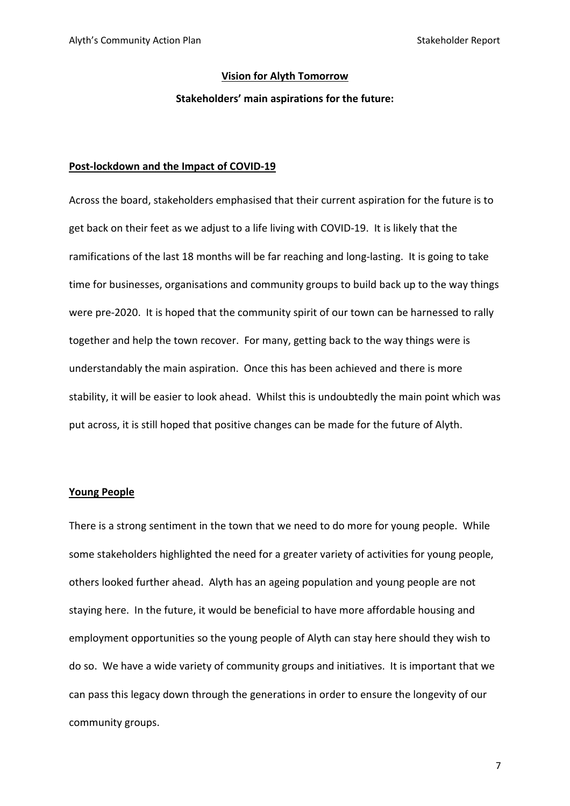#### **Vision for Alyth Tomorrow**

#### **Stakeholders' main aspirations for the future:**

#### **Post-lockdown and the Impact of COVID-19**

Across the board, stakeholders emphasised that their current aspiration for the future is to get back on their feet as we adjust to a life living with COVID-19. It is likely that the ramifications of the last 18 months will be far reaching and long-lasting. It is going to take time for businesses, organisations and community groups to build back up to the way things were pre-2020. It is hoped that the community spirit of our town can be harnessed to rally together and help the town recover. For many, getting back to the way things were is understandably the main aspiration. Once this has been achieved and there is more stability, it will be easier to look ahead. Whilst this is undoubtedly the main point which was put across, it is still hoped that positive changes can be made for the future of Alyth.

#### **Young People**

There is a strong sentiment in the town that we need to do more for young people. While some stakeholders highlighted the need for a greater variety of activities for young people, others looked further ahead. Alyth has an ageing population and young people are not staying here. In the future, it would be beneficial to have more affordable housing and employment opportunities so the young people of Alyth can stay here should they wish to do so. We have a wide variety of community groups and initiatives. It is important that we can pass this legacy down through the generations in order to ensure the longevity of our community groups.

7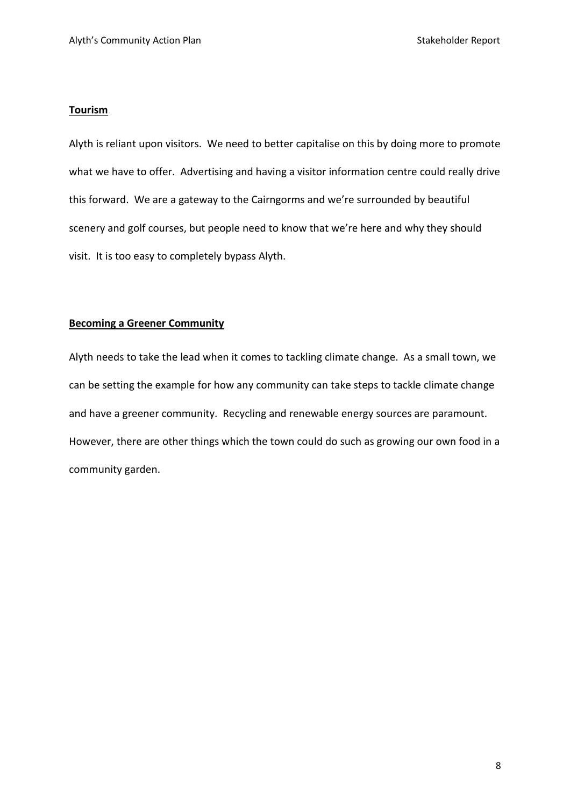#### **Tourism**

Alyth is reliant upon visitors. We need to better capitalise on this by doing more to promote what we have to offer. Advertising and having a visitor information centre could really drive this forward. We are a gateway to the Cairngorms and we're surrounded by beautiful scenery and golf courses, but people need to know that we're here and why they should visit. It is too easy to completely bypass Alyth.

## **Becoming a Greener Community**

Alyth needs to take the lead when it comes to tackling climate change. As a small town, we can be setting the example for how any community can take steps to tackle climate change and have a greener community. Recycling and renewable energy sources are paramount. However, there are other things which the town could do such as growing our own food in a community garden.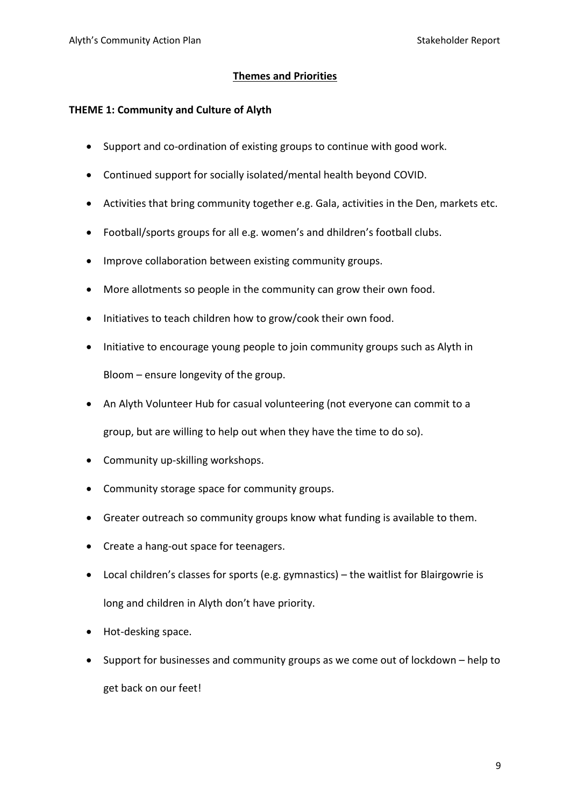# **Themes and Priorities**

# **THEME 1: Community and Culture of Alyth**

- Support and co-ordination of existing groups to continue with good work.
- Continued support for socially isolated/mental health beyond COVID.
- Activities that bring community together e.g. Gala, activities in the Den, markets etc.
- Football/sports groups for all e.g. women's and dhildren's football clubs.
- Improve collaboration between existing community groups.
- More allotments so people in the community can grow their own food.
- Initiatives to teach children how to grow/cook their own food.
- Initiative to encourage young people to join community groups such as Alyth in Bloom – ensure longevity of the group.
- An Alyth Volunteer Hub for casual volunteering (not everyone can commit to a group, but are willing to help out when they have the time to do so).
- Community up-skilling workshops.
- Community storage space for community groups.
- Greater outreach so community groups know what funding is available to them.
- Create a hang-out space for teenagers.
- Local children's classes for sports (e.g. gymnastics) the waitlist for Blairgowrie is long and children in Alyth don't have priority.
- Hot-desking space.
- Support for businesses and community groups as we come out of lockdown help to get back on our feet!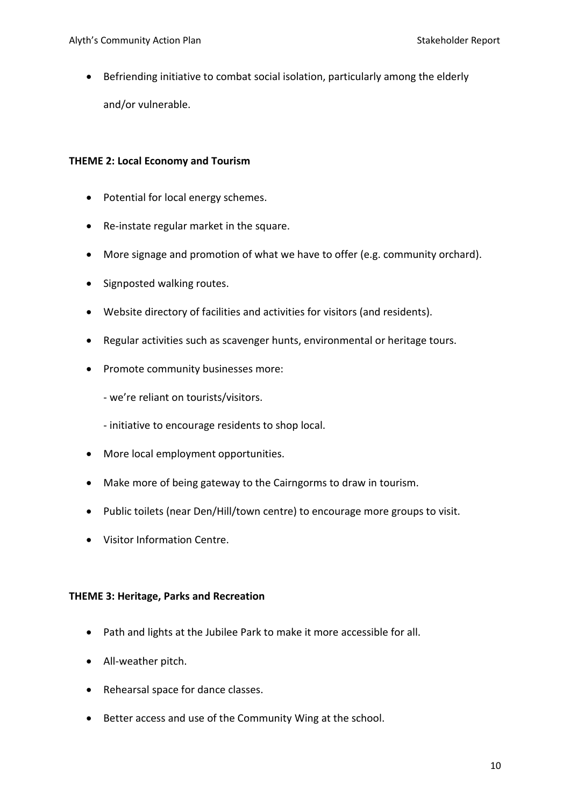• Befriending initiative to combat social isolation, particularly among the elderly and/or vulnerable.

# **THEME 2: Local Economy and Tourism**

- Potential for local energy schemes.
- Re-instate regular market in the square.
- More signage and promotion of what we have to offer (e.g. community orchard).
- Signposted walking routes.
- Website directory of facilities and activities for visitors (and residents).
- Regular activities such as scavenger hunts, environmental or heritage tours.
- Promote community businesses more:

- we're reliant on tourists/visitors.

- initiative to encourage residents to shop local.

- More local employment opportunities.
- Make more of being gateway to the Cairngorms to draw in tourism.
- Public toilets (near Den/Hill/town centre) to encourage more groups to visit.
- Visitor Information Centre.

## **THEME 3: Heritage, Parks and Recreation**

- Path and lights at the Jubilee Park to make it more accessible for all.
- All-weather pitch.
- Rehearsal space for dance classes.
- Better access and use of the Community Wing at the school.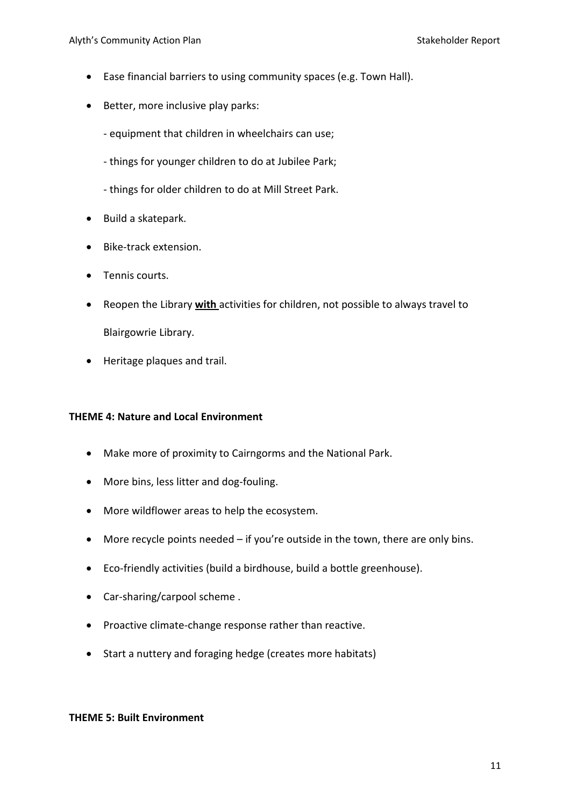- Ease financial barriers to using community spaces (e.g. Town Hall).
- Better, more inclusive play parks:
	- equipment that children in wheelchairs can use;
	- things for younger children to do at Jubilee Park;
	- things for older children to do at Mill Street Park.
- Build a skatepark.
- Bike-track extension.
- Tennis courts.
- Reopen the Library **with** activities for children, not possible to always travel to Blairgowrie Library.
- Heritage plaques and trail.

## **THEME 4: Nature and Local Environment**

- Make more of proximity to Cairngorms and the National Park.
- More bins, less litter and dog-fouling.
- More wildflower areas to help the ecosystem.
- More recycle points needed if you're outside in the town, there are only bins.
- Eco-friendly activities (build a birdhouse, build a bottle greenhouse).
- Car-sharing/carpool scheme .
- Proactive climate-change response rather than reactive.
- Start a nuttery and foraging hedge (creates more habitats)

#### **THEME 5: Built Environment**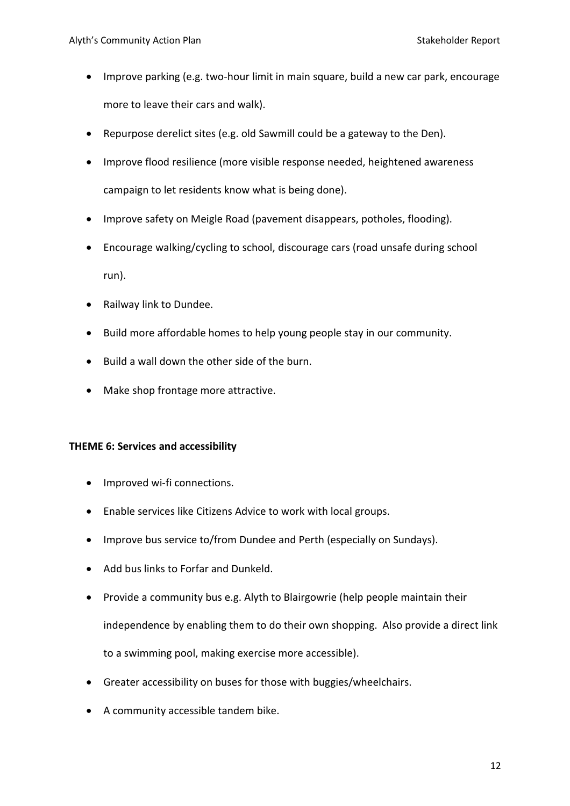- Improve parking (e.g. two-hour limit in main square, build a new car park, encourage more to leave their cars and walk).
- Repurpose derelict sites (e.g. old Sawmill could be a gateway to the Den).
- Improve flood resilience (more visible response needed, heightened awareness campaign to let residents know what is being done).
- Improve safety on Meigle Road (pavement disappears, potholes, flooding).
- Encourage walking/cycling to school, discourage cars (road unsafe during school run).
- Railway link to Dundee.
- Build more affordable homes to help young people stay in our community.
- Build a wall down the other side of the burn.
- Make shop frontage more attractive.

## **THEME 6: Services and accessibility**

- Improved wi-fi connections.
- Enable services like Citizens Advice to work with local groups.
- Improve bus service to/from Dundee and Perth (especially on Sundays).
- Add bus links to Forfar and Dunkeld.
- Provide a community bus e.g. Alyth to Blairgowrie (help people maintain their independence by enabling them to do their own shopping. Also provide a direct link to a swimming pool, making exercise more accessible).
- Greater accessibility on buses for those with buggies/wheelchairs.
- A community accessible tandem bike.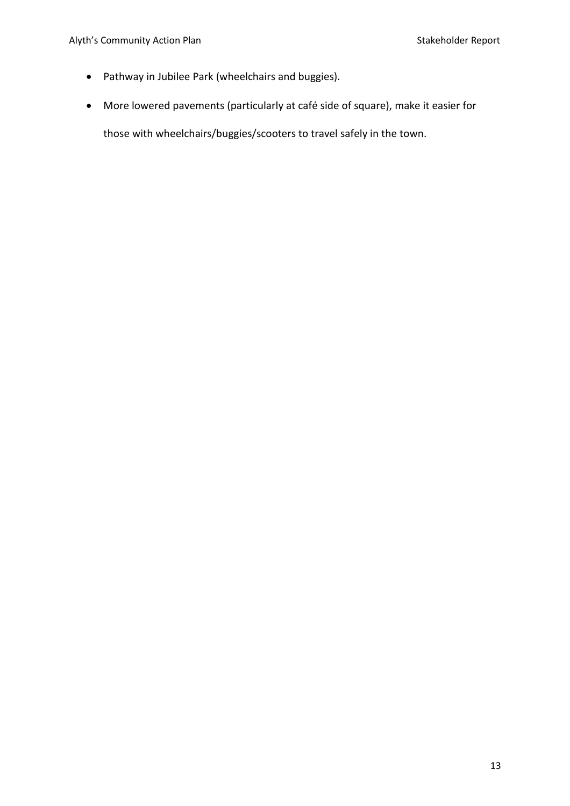- Pathway in Jubilee Park (wheelchairs and buggies).
- More lowered pavements (particularly at café side of square), make it easier for

those with wheelchairs/buggies/scooters to travel safely in the town.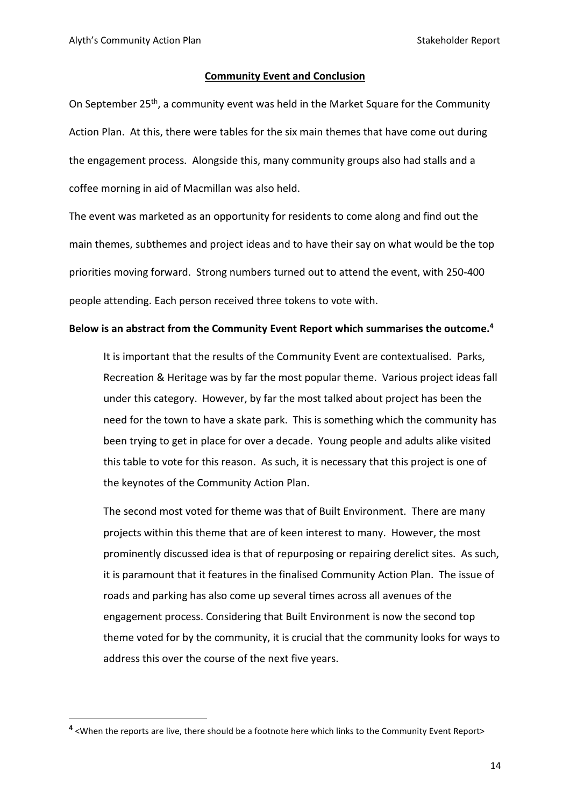#### **Community Event and Conclusion**

On September 25<sup>th</sup>, a community event was held in the Market Square for the Community Action Plan. At this, there were tables for the six main themes that have come out during the engagement process. Alongside this, many community groups also had stalls and a coffee morning in aid of Macmillan was also held.

The event was marketed as an opportunity for residents to come along and find out the main themes, subthemes and project ideas and to have their say on what would be the top priorities moving forward. Strong numbers turned out to attend the event, with 250-400 people attending. Each person received three tokens to vote with.

#### **Below is an abstract from the Community Event Report which summarises the outcome.<sup>4</sup>**

It is important that the results of the Community Event are contextualised. Parks, Recreation & Heritage was by far the most popular theme. Various project ideas fall under this category. However, by far the most talked about project has been the need for the town to have a skate park. This is something which the community has been trying to get in place for over a decade. Young people and adults alike visited this table to vote for this reason. As such, it is necessary that this project is one of the keynotes of the Community Action Plan.

The second most voted for theme was that of Built Environment. There are many projects within this theme that are of keen interest to many. However, the most prominently discussed idea is that of repurposing or repairing derelict sites. As such, it is paramount that it features in the finalised Community Action Plan. The issue of roads and parking has also come up several times across all avenues of the engagement process. Considering that Built Environment is now the second top theme voted for by the community, it is crucial that the community looks for ways to address this over the course of the next five years.

**<sup>4</sup>** <When the reports are live, there should be a footnote here which links to the Community Event Report>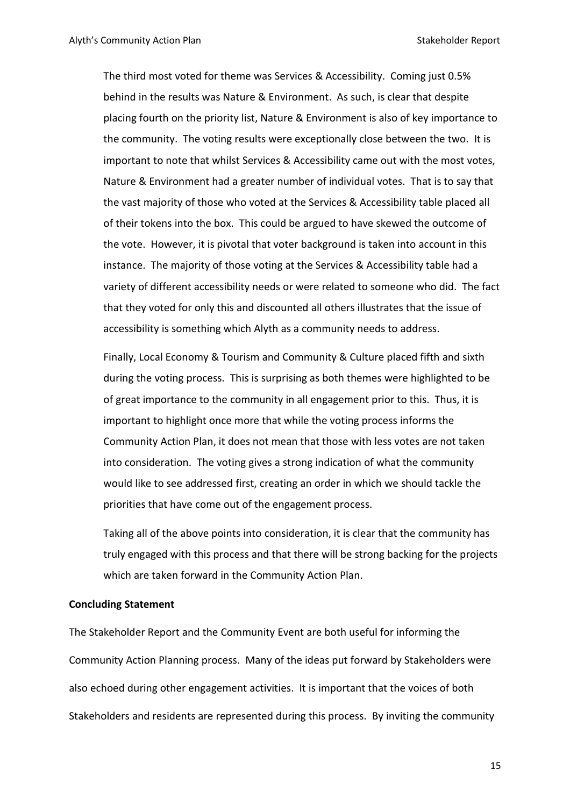The third most voted for theme was Services & Accessibility. Coming just 0.5% behind in the results was Nature & Environment. As such, is clear that despite placing fourth on the priority list, Nature & Environment is also of key importance to the community. The voting results were exceptionally close between the two. It is important to note that whilst Services & Accessibility came out with the most votes, Nature & Environment had a greater number of individual votes. That is to say that the vast majority of those who voted at the Services & Accessibility table placed all of their tokens into the box. This could be argued to have skewed the outcome of the vote. However, it is pivotal that voter background is taken into account in this instance. The majority of those voting at the Services & Accessibility table had a variety of different accessibility needs or were related to someone who did. The fact that they voted for only this and discounted all others illustrates that the issue of accessibility is something which Alyth as a community needs to address.

Finally, Local Economy & Tourism and Community & Culture placed fifth and sixth during the voting process. This is surprising as both themes were highlighted to be of great importance to the community in all engagement prior to this. Thus, it is important to highlight once more that while the voting process informs the Community Action Plan, it does not mean that those with less votes are not taken into consideration. The voting gives a strong indication of what the community would like to see addressed first, creating an order in which we should tackle the priorities that have come out of the engagement process.

Taking all of the above points into consideration, it is clear that the community has truly engaged with this process and that there will be strong backing for the projects which are taken forward in the Community Action Plan.

#### **Concluding Statement**

The Stakeholder Report and the Community Event are both useful for informing the Community Action Planning process. Many of the ideas put forward by Stakeholders were also echoed during other engagement activities. It is important that the voices of both Stakeholders and residents are represented during this process. By inviting the community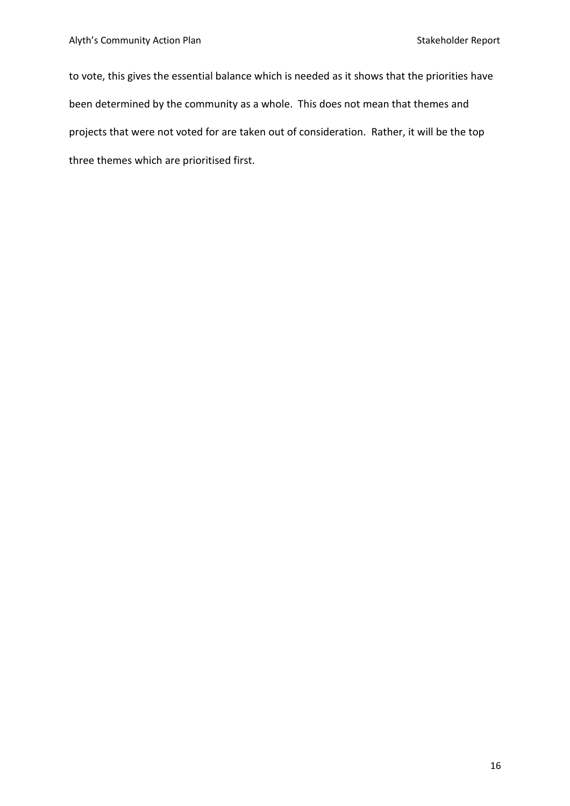to vote, this gives the essential balance which is needed as it shows that the priorities have been determined by the community as a whole. This does not mean that themes and projects that were not voted for are taken out of consideration. Rather, it will be the top three themes which are prioritised first.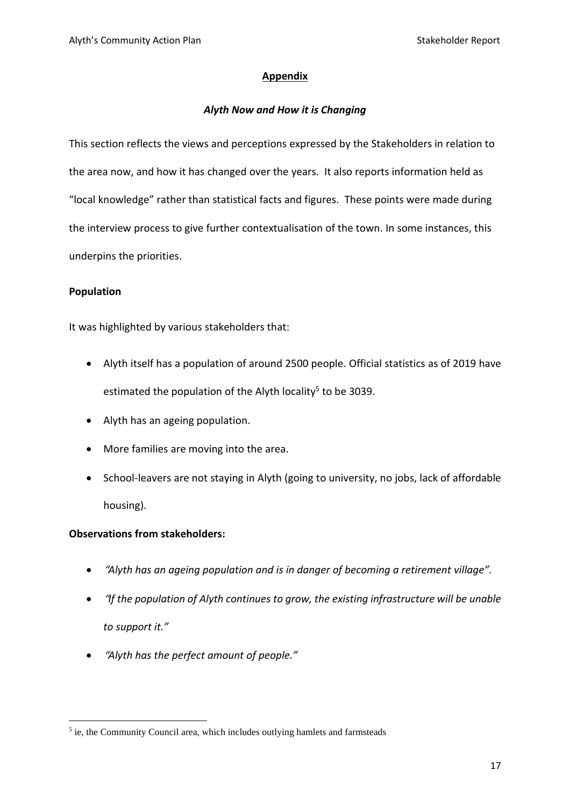# **Appendix**

# *Alyth Now and How it is Changing*

This section reflects the views and perceptions expressed by the Stakeholders in relation to the area now, and how it has changed over the years. It also reports information held as "local knowledge" rather than statistical facts and figures. These points were made during the interview process to give further contextualisation of the town. In some instances, this underpins the priorities.

# **Population**

It was highlighted by various stakeholders that:

- Alyth itself has a population of around 2500 people. Official statistics as of 2019 have estimated the population of the Alyth locality<sup>5</sup> to be 3039.
- Alyth has an ageing population.
- More families are moving into the area.
- School-leavers are not staying in Alyth (going to university, no jobs, lack of affordable housing).

- "*Alyth has an ageing population and is in danger of becoming a retirement village".*
- "*If the population of Alyth continues to grow, the existing infrastructure will be unable to support it."*
- "*Alyth has the perfect amount of people."*

<sup>&</sup>lt;sup>5</sup> ie, the Community Council area, which includes outlying hamlets and farmsteads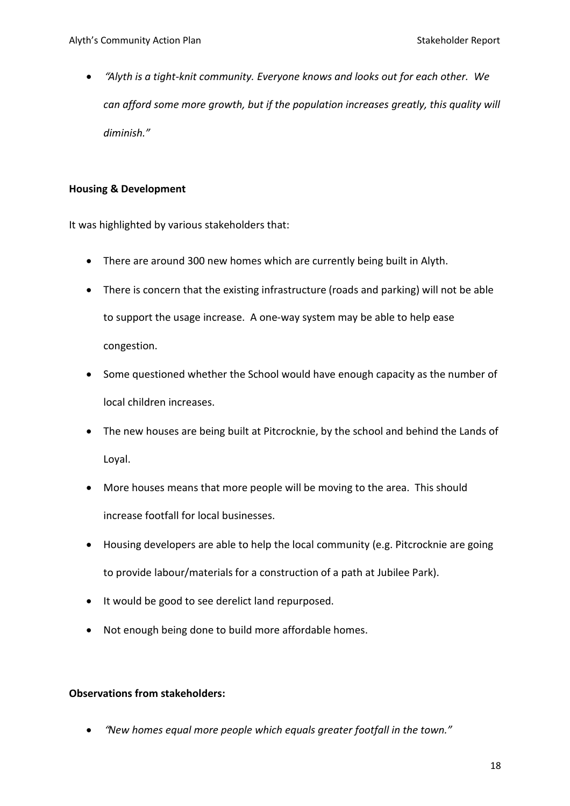• "*Alyth is a tight-knit community. Everyone knows and looks out for each other. We can afford some more growth, but if the population increases greatly, this quality will diminish."*

# **Housing & Development**

It was highlighted by various stakeholders that:

- There are around 300 new homes which are currently being built in Alyth.
- There is concern that the existing infrastructure (roads and parking) will not be able to support the usage increase. A one-way system may be able to help ease congestion.
- Some questioned whether the School would have enough capacity as the number of local children increases.
- The new houses are being built at Pitcrocknie, by the school and behind the Lands of Loyal.
- More houses means that more people will be moving to the area. This should increase footfall for local businesses.
- Housing developers are able to help the local community (e.g. Pitcrocknie are going to provide labour/materials for a construction of a path at Jubilee Park).
- It would be good to see derelict land repurposed.
- Not enough being done to build more affordable homes.

# **Observations from stakeholders:**

• "*New homes equal more people which equals greater footfall in the town."*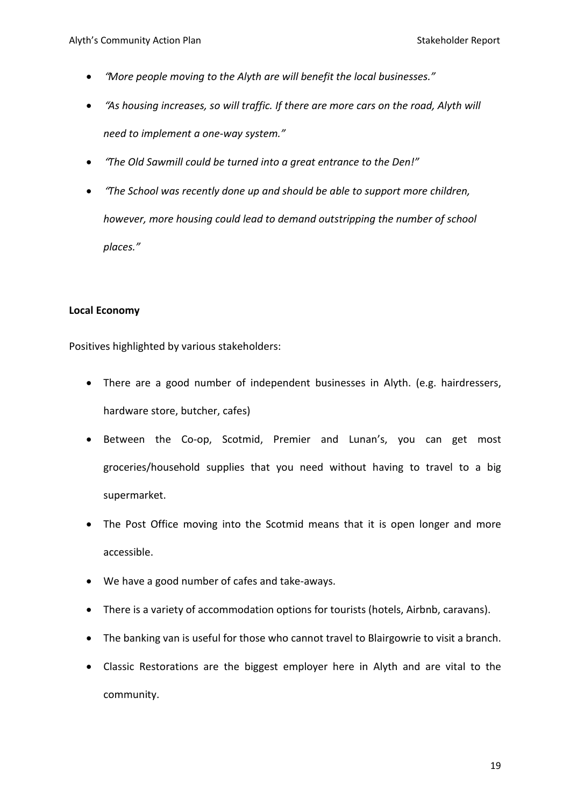- "*More people moving to the Alyth are will benefit the local businesses."*
- "*As housing increases, so will traffic. If there are more cars on the road, Alyth will need to implement a one-way system."*
- "*The Old Sawmill could be turned into a great entrance to the Den!"*
- "*The School was recently done up and should be able to support more children, however, more housing could lead to demand outstripping the number of school places."*

# **Local Economy**

Positives highlighted by various stakeholders:

- There are a good number of independent businesses in Alyth. (e.g. hairdressers, hardware store, butcher, cafes)
- Between the Co-op, Scotmid, Premier and Lunan's, you can get most groceries/household supplies that you need without having to travel to a big supermarket.
- The Post Office moving into the Scotmid means that it is open longer and more accessible.
- We have a good number of cafes and take-aways.
- There is a variety of accommodation options for tourists (hotels, Airbnb, caravans).
- The banking van is useful for those who cannot travel to Blairgowrie to visit a branch.
- Classic Restorations are the biggest employer here in Alyth and are vital to the community.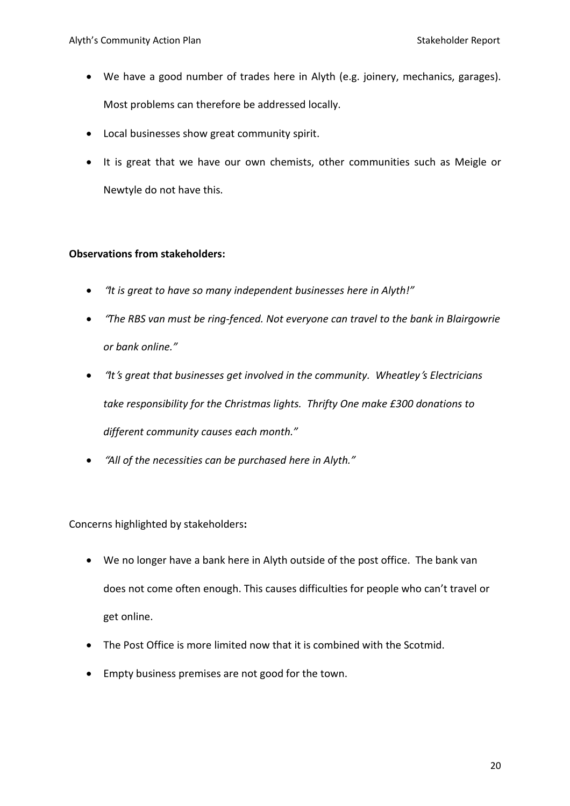- We have a good number of trades here in Alyth (e.g. joinery, mechanics, garages). Most problems can therefore be addressed locally.
- Local businesses show great community spirit.
- It is great that we have our own chemists, other communities such as Meigle or Newtyle do not have this.

# **Observations from stakeholders:**

- "*It is great to have so many independent businesses here in Alyth!"*
- "*The RBS van must be ring-fenced. Not everyone can travel to the bank in Blairgowrie or bank online."*
- "*It*'*s great that businesses get involved in the community. Wheatley*'*s Electricians take responsibility for the Christmas lights. Thrifty One make £300 donations to different community causes each month."*
- "*All of the necessities can be purchased here in Alyth."*

Concerns highlighted by stakeholders**:**

- We no longer have a bank here in Alyth outside of the post office. The bank van does not come often enough. This causes difficulties for people who can't travel or get online.
- The Post Office is more limited now that it is combined with the Scotmid.
- Empty business premises are not good for the town.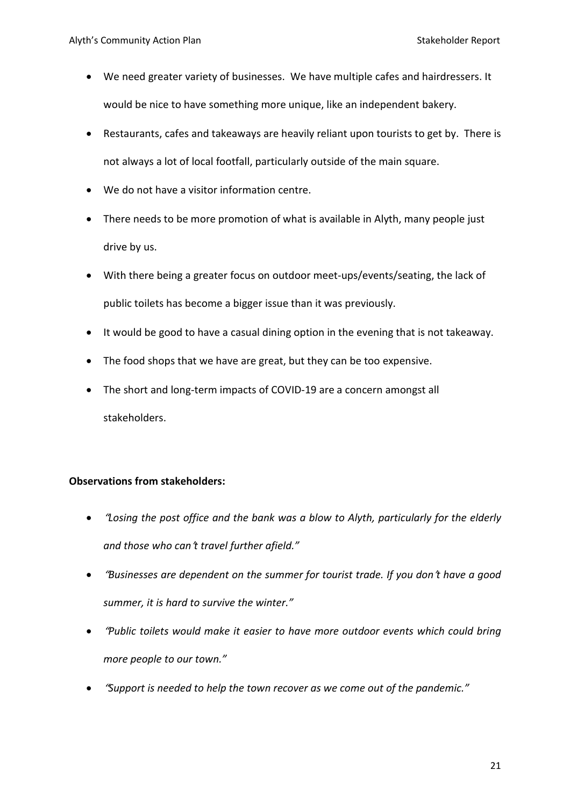- We need greater variety of businesses. We have multiple cafes and hairdressers. It would be nice to have something more unique, like an independent bakery.
- Restaurants, cafes and takeaways are heavily reliant upon tourists to get by. There is not always a lot of local footfall, particularly outside of the main square.
- We do not have a visitor information centre.
- There needs to be more promotion of what is available in Alyth, many people just drive by us.
- With there being a greater focus on outdoor meet-ups/events/seating, the lack of public toilets has become a bigger issue than it was previously.
- It would be good to have a casual dining option in the evening that is not takeaway.
- The food shops that we have are great, but they can be too expensive.
- The short and long-term impacts of COVID-19 are a concern amongst all stakeholders.

- "*Losing the post office and the bank was a blow to Alyth, particularly for the elderly and those who can*'*t travel further afield."*
- "*Businesses are dependent on the summer for tourist trade. If you don*'*t have a good summer, it is hard to survive the winter."*
- "*Public toilets would make it easier to have more outdoor events which could bring more people to our town."*
- "*Support is needed to help the town recover as we come out of the pandemic."*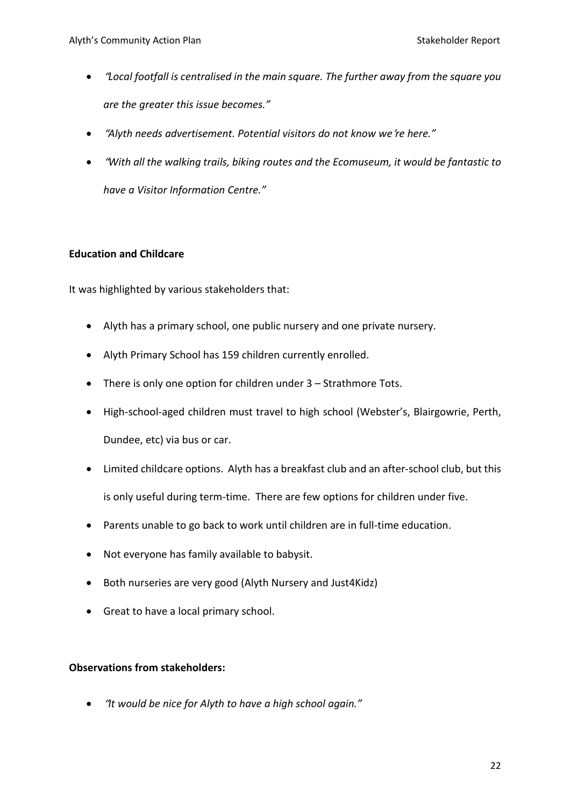- "*Local footfall is centralised in the main square. The further away from the square you are the greater this issue becomes."*
- "*Alyth needs advertisement. Potential visitors do not know we*'*re here."*
- "*With all the walking trails, biking routes and the Ecomuseum, it would be fantastic to have a Visitor Information Centre."*

# **Education and Childcare**

It was highlighted by various stakeholders that:

- Alyth has a primary school, one public nursery and one private nursery.
- Alyth Primary School has 159 children currently enrolled.
- There is only one option for children under 3 Strathmore Tots.
- High-school-aged children must travel to high school (Webster's, Blairgowrie, Perth, Dundee, etc) via bus or car.
- Limited childcare options. Alyth has a breakfast club and an after-school club, but this is only useful during term-time. There are few options for children under five.
- Parents unable to go back to work until children are in full-time education.
- Not everyone has family available to babysit.
- Both nurseries are very good (Alyth Nursery and Just4Kidz)
- Great to have a local primary school.

## **Observations from stakeholders:**

• "*It would be nice for Alyth to have a high school again."*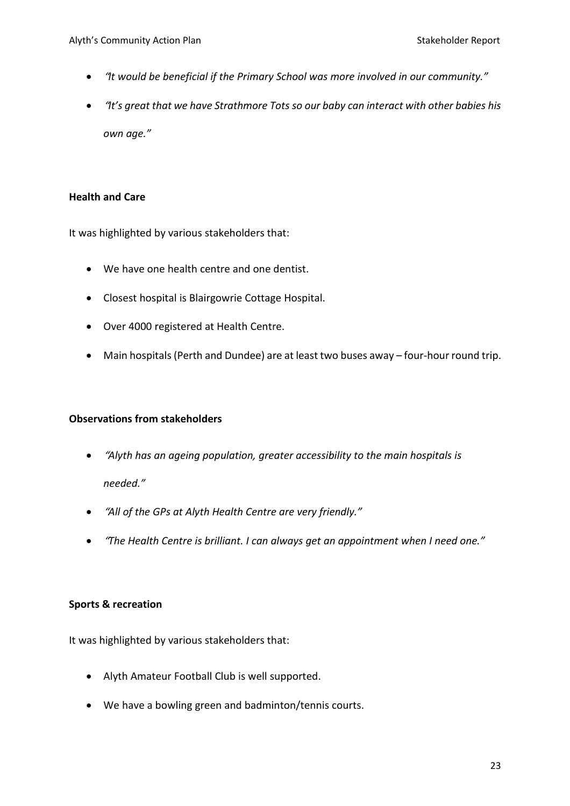- "*It would be beneficial if the Primary School was more involved in our community."*
- "*It's great that we have Strathmore Tots so our baby can interact with other babies his own age."*

# **Health and Care**

It was highlighted by various stakeholders that:

- We have one health centre and one dentist.
- Closest hospital is Blairgowrie Cottage Hospital.
- Over 4000 registered at Health Centre.
- Main hospitals (Perth and Dundee) are at least two buses away four-hour round trip.

# **Observations from stakeholders**

- "*Alyth has an ageing population, greater accessibility to the main hospitals is needed."*
- "*All of the GPs at Alyth Health Centre are very friendly."*
- "*The Health Centre is brilliant. I can always get an appointment when I need one."*

## **Sports & recreation**

It was highlighted by various stakeholders that:

- Alyth Amateur Football Club is well supported.
- We have a bowling green and badminton/tennis courts.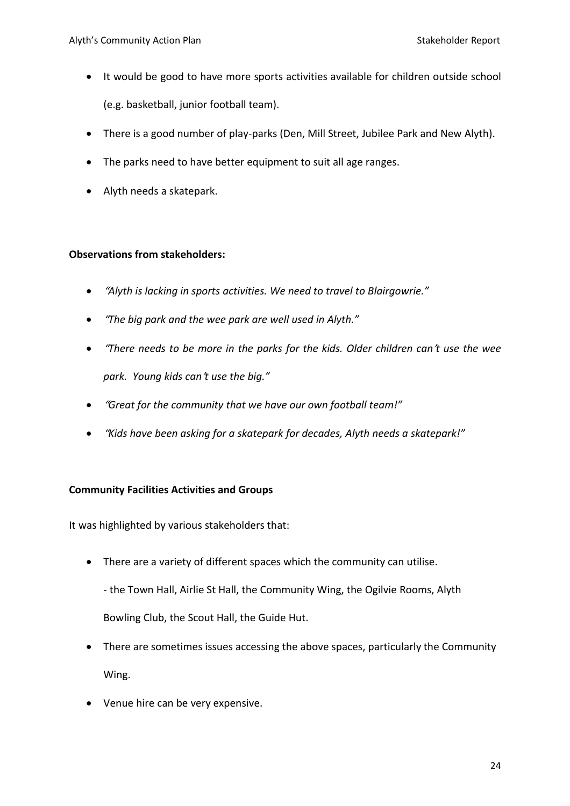- It would be good to have more sports activities available for children outside school (e.g. basketball, junior football team).
- There is a good number of play-parks (Den, Mill Street, Jubilee Park and New Alyth).
- The parks need to have better equipment to suit all age ranges.
- Alyth needs a skatepark.

# **Observations from stakeholders:**

- "*Alyth is lacking in sports activities. We need to travel to Blairgowrie."*
- "*The big park and the wee park are well used in Alyth."*
- "*There needs to be more in the parks for the kids. Older children can*'*t use the wee park. Young kids can*'*t use the big."*
- "*Great for the community that we have our own football team!"*
- "*Kids have been asking for a skatepark for decades, Alyth needs a skatepark!"*

## **Community Facilities Activities and Groups**

It was highlighted by various stakeholders that:

• There are a variety of different spaces which the community can utilise.

- the Town Hall, Airlie St Hall, the Community Wing, the Ogilvie Rooms, Alyth Bowling Club, the Scout Hall, the Guide Hut.

- There are sometimes issues accessing the above spaces, particularly the Community Wing.
- Venue hire can be very expensive.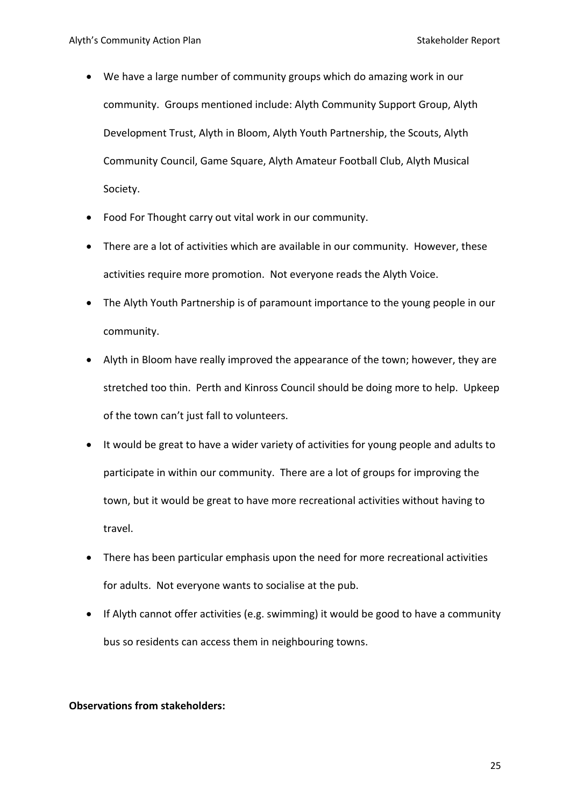- We have a large number of community groups which do amazing work in our community. Groups mentioned include: Alyth Community Support Group, Alyth Development Trust, Alyth in Bloom, Alyth Youth Partnership, the Scouts, Alyth Community Council, Game Square, Alyth Amateur Football Club, Alyth Musical Society.
- Food For Thought carry out vital work in our community.
- There are a lot of activities which are available in our community. However, these activities require more promotion. Not everyone reads the Alyth Voice.
- The Alyth Youth Partnership is of paramount importance to the young people in our community.
- Alyth in Bloom have really improved the appearance of the town; however, they are stretched too thin. Perth and Kinross Council should be doing more to help. Upkeep of the town can't just fall to volunteers.
- It would be great to have a wider variety of activities for young people and adults to participate in within our community. There are a lot of groups for improving the town, but it would be great to have more recreational activities without having to travel.
- There has been particular emphasis upon the need for more recreational activities for adults. Not everyone wants to socialise at the pub.
- If Alyth cannot offer activities (e.g. swimming) it would be good to have a community bus so residents can access them in neighbouring towns.

## **Observations from stakeholders:**

25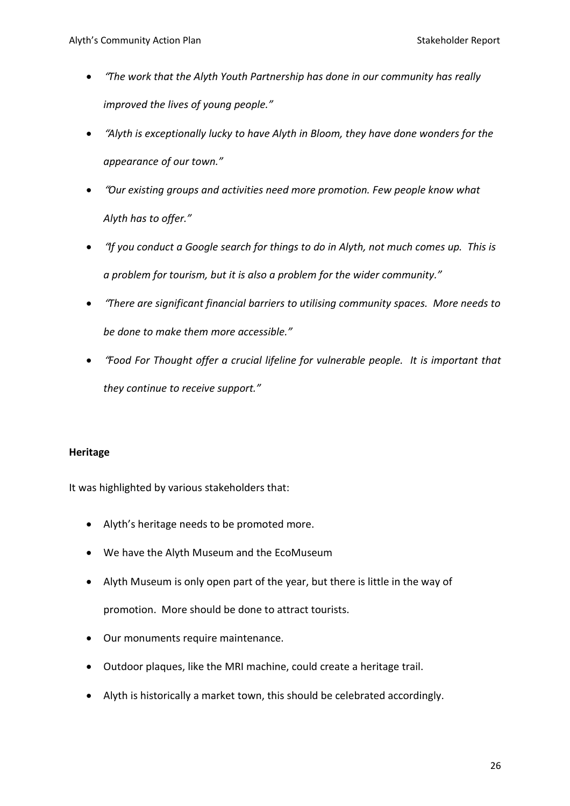- "*The work that the Alyth Youth Partnership has done in our community has really improved the lives of young people."*
- "*Alyth is exceptionally lucky to have Alyth in Bloom, they have done wonders for the appearance of our town."*
- "*Our existing groups and activities need more promotion. Few people know what Alyth has to offer."*
- "*If you conduct a Google search for things to do in Alyth, not much comes up. This is a problem for tourism, but it is also a problem for the wider community."*
- "*There are significant financial barriers to utilising community spaces. More needs to be done to make them more accessible."*
- "*Food For Thought offer a crucial lifeline for vulnerable people. It is important that they continue to receive support."*

## **Heritage**

It was highlighted by various stakeholders that:

- Alyth's heritage needs to be promoted more.
- We have the Alyth Museum and the EcoMuseum
- Alyth Museum is only open part of the year, but there is little in the way of promotion. More should be done to attract tourists.
- Our monuments require maintenance.
- Outdoor plaques, like the MRI machine, could create a heritage trail.
- Alyth is historically a market town, this should be celebrated accordingly.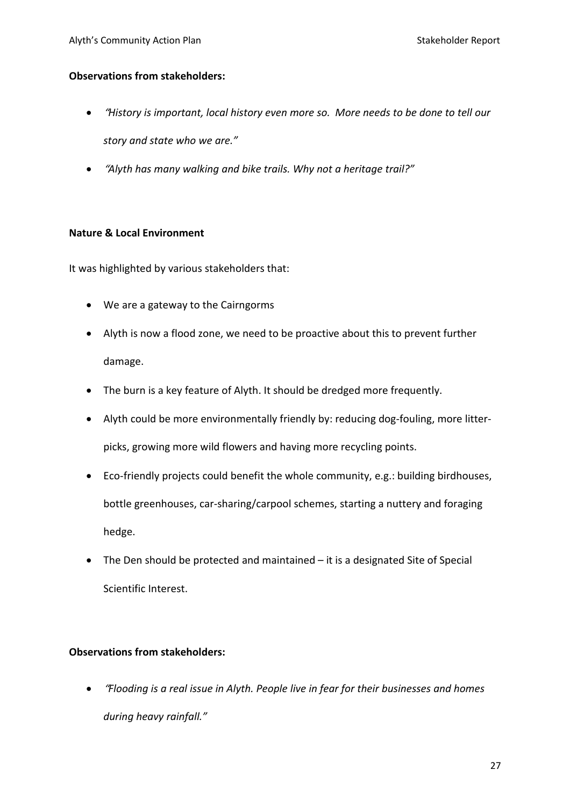## **Observations from stakeholders:**

- "*History is important, local history even more so. More needs to be done to tell our story and state who we are."*
- "*Alyth has many walking and bike trails. Why not a heritage trail?"*

## **Nature & Local Environment**

It was highlighted by various stakeholders that:

- We are a gateway to the Cairngorms
- Alyth is now a flood zone, we need to be proactive about this to prevent further damage.
- The burn is a key feature of Alyth. It should be dredged more frequently.
- Alyth could be more environmentally friendly by: reducing dog-fouling, more litterpicks, growing more wild flowers and having more recycling points.
- Eco-friendly projects could benefit the whole community, e.g.: building birdhouses, bottle greenhouses, car-sharing/carpool schemes, starting a nuttery and foraging hedge.
- The Den should be protected and maintained it is a designated Site of Special Scientific Interest.

## **Observations from stakeholders:**

• "*Flooding is a real issue in Alyth. People live in fear for their businesses and homes during heavy rainfall."*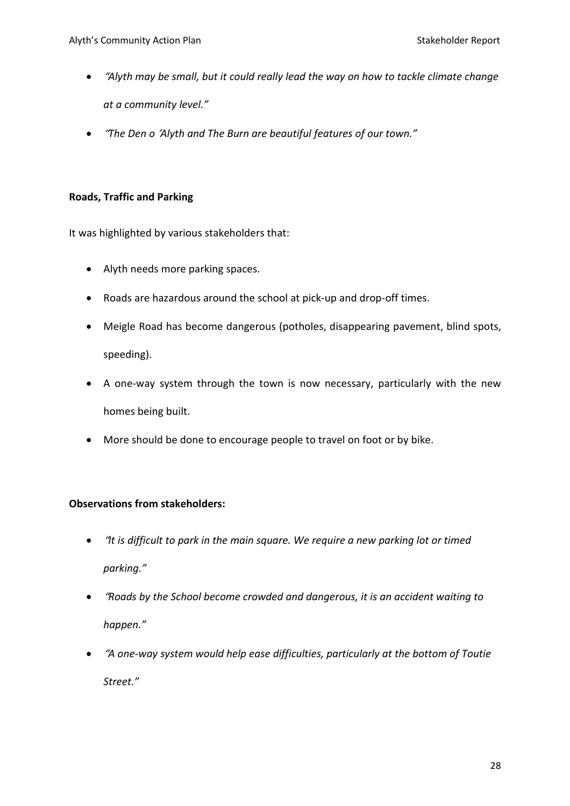- "*Alyth may be small, but it could really lead the way on how to tackle climate change at a community level."*
- "*The Den o* '*Alyth and The Burn are beautiful features of our town."*

# **Roads, Traffic and Parking**

It was highlighted by various stakeholders that:

- Alyth needs more parking spaces.
- Roads are hazardous around the school at pick-up and drop-off times.
- Meigle Road has become dangerous (potholes, disappearing pavement, blind spots, speeding).
- A one-way system through the town is now necessary, particularly with the new homes being built.
- More should be done to encourage people to travel on foot or by bike.

- "*It is difficult to park in the main square. We require a new parking lot or timed parking."*
- "*Roads by the School become crowded and dangerous, it is an accident waiting to happen."*
- "*A one-way system would help ease difficulties, particularly at the bottom of Toutie Street."*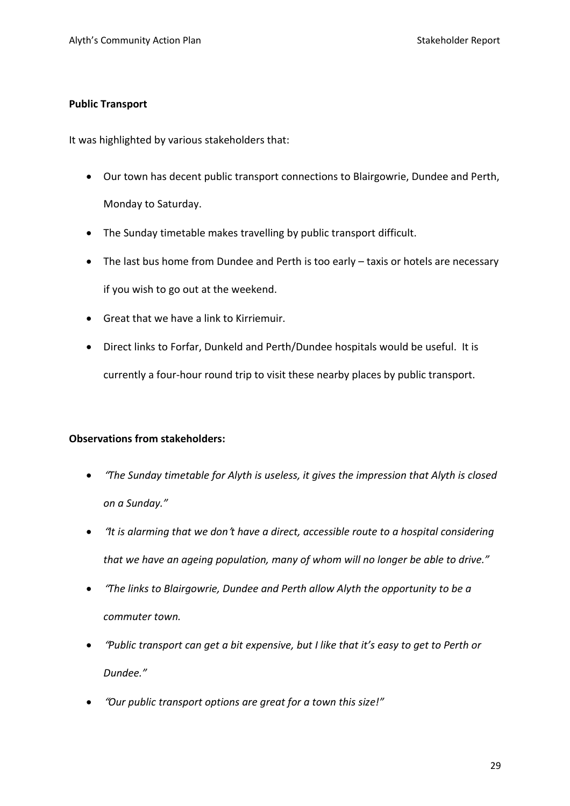# **Public Transport**

It was highlighted by various stakeholders that:

- Our town has decent public transport connections to Blairgowrie, Dundee and Perth, Monday to Saturday.
- The Sunday timetable makes travelling by public transport difficult.
- The last bus home from Dundee and Perth is too early taxis or hotels are necessary if you wish to go out at the weekend.
- Great that we have a link to Kirriemuir.
- Direct links to Forfar, Dunkeld and Perth/Dundee hospitals would be useful. It is currently a four-hour round trip to visit these nearby places by public transport.

- "*The Sunday timetable for Alyth is useless, it gives the impression that Alyth is closed on a Sunday."*
- "*It is alarming that we don*'*t have a direct, accessible route to a hospital considering that we have an ageing population, many of whom will no longer be able to drive."*
- "*The links to Blairgowrie, Dundee and Perth allow Alyth the opportunity to be a commuter town.*
- "*Public transport can get a bit expensive, but I like that it's easy to get to Perth or Dundee."*
- "*Our public transport options are great for a town this size!"*